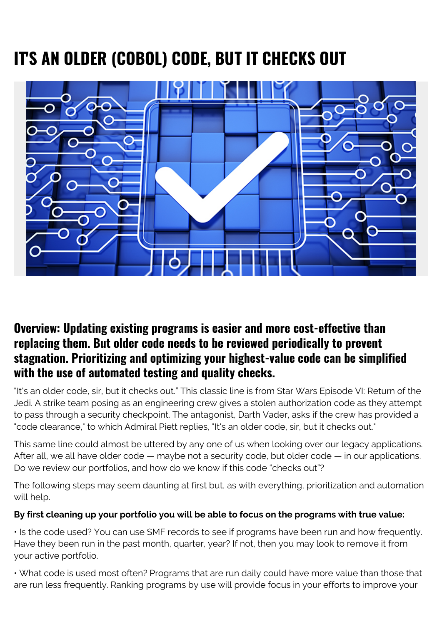## **IT'S AN OLDER (COBOL) CODE, BUT IT CHECKS OUT**



## **Overview: Updating existing programs is easier and more cost-effective than replacing them. But older code needs to be reviewed periodically to prevent stagnation. Prioritizing and optimizing your highest-value code can be simplified with the use of automated testing and quality checks.**

"It's an older code, sir, but it checks out." This classic line is from Star Wars Episode VI: Return of the Jedi. A strike team posing as an engineering crew gives a stolen authorization code as they attempt to pass through a security checkpoint. The antagonist, Darth Vader, asks if the crew has provided a "code clearance," to which Admiral Piett replies, "It's an older code, sir, but it checks out."

This same line could almost be uttered by any one of us when looking over our legacy applications. After all, we all have older code — maybe not a security code, but older code — in our applications. Do we review our portfolios, and how do we know if this code "checks out"?

The following steps may seem daunting at first but, as with everything, prioritization and automation will help.

## **By first cleaning up your portfolio you will be able to focus on the programs with true value:**

• Is the code used? You can use SMF records to see if programs have been run and how frequently. Have they been run in the past month, quarter, year? If not, then you may look to remove it from your active portfolio.

• What code is used most often? Programs that are run daily could have more value than those that are run less frequently. Ranking programs by use will provide focus in your efforts to improve your